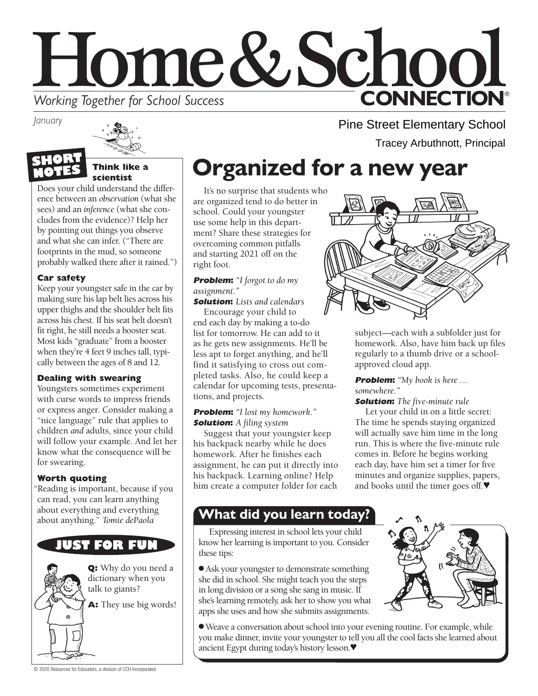# Home&School **CONNECTION® Working Together for School Success**

*January*



#### **Think like a scientist**

Does your child understand the difference between an *observation* (what she sees) and an *inference* (what she concludes from the evidence)? Help her by pointing out things you observe and what she can infer. ("There are footprints in the mud, so someone probably walked there after it rained.")

### **Car safety**

Keep your youngster safe in the car by making sure his lap belt lies across his upper thighs and the shoulder belt fits across his chest. If his seat belt doesn't fit right, he still needs a booster seat. Most kids "graduate" from a booster when they're 4 feet 9 inches tall, typically between the ages of 8 and 12.

#### **Dealing with swearing**

Youngsters sometimes experiment with curse words to impress friends or express anger. Consider making a "nice language" rule that applies to children *and* adults, since your child will follow your example. And let her know what the consequence will be for swearing.

#### **Worth quoting**

"Reading is important, because if you can read, you can learn anything about everything and everything about anything." *Tomie dePaola*

### **UST FOR FUN**

**Q:** Why do you need a dictionary when you talk to giants?

**A:** They use big words!

Pine Street Elementary School Tracey Arbuthnott, Principal

# **Organized for a new year**

It's no surprise that students who are organized tend to do better in school. Could your youngster use some help in this department? Share these strategies for overcoming common pitfalls and starting 2021 off on the right foot.

#### **Problem:** *"I forgot to do my assignment."*

**Solution:** *Lists and calendars*

Encourage your child to end each day by making a to-do list for tomorrow. He can add to it as he gets new assignments. He'll be less apt to forget anything, and he'll find it satisfying to cross out completed tasks. Also, he could keep a calendar for upcoming tests, presentations, and projects.

#### **Problem:** *"I lost my homework."* **Solution:** *A filing system*

Suggest that your youngster keep his backpack nearby while he does homework. After he finishes each assignment, he can put it directly into his backpack. Learning online? Help him create a computer folder for each



subject—each with a subfolder just for homework. Also, have him back up files regularly to a thumb drive or a schoolapproved cloud app.

**Problem:** *"My book is here … somewhere."*

#### **Solution:** *The five-minute rule*

Let your child in on a little secret: The time he spends staying organized will actually save him time in the long run. This is where the five-minute rule comes in. Before he begins working each day, have him set a timer for five minutes and organize supplies, papers, and books until the timer goes off.♥

### **What did you learn today?**

Expressing interest in school lets your child know her learning is important to you. Consider these tips:

● Ask your youngster to demonstrate something she did in school. She might teach you the steps in long division or a song she sang in music. If she's learning remotely, ask her to show you what apps she uses and how she submits assignments.



●Weave a conversation about school into your evening routine. For example, while you make dinner, invite your youngster to tell you all the cool facts she learned about ancient Egypt during today's history lesson.♥

© 2020 Resources for Educators, a division of CCH Incorporated